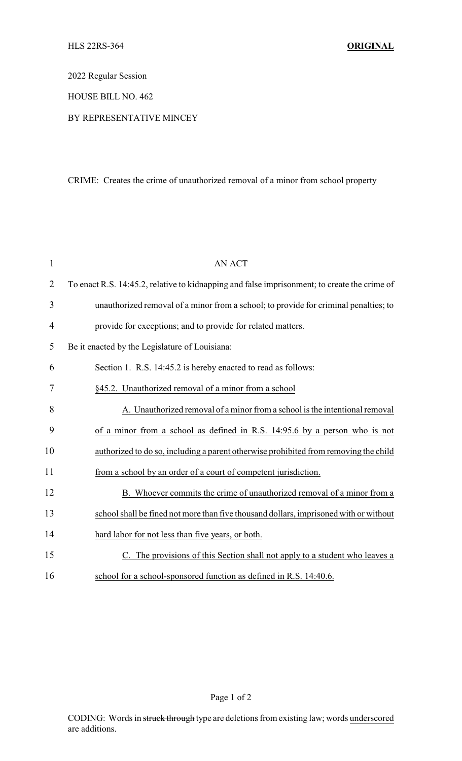2022 Regular Session

HOUSE BILL NO. 462

BY REPRESENTATIVE MINCEY

## CRIME: Creates the crime of unauthorized removal of a minor from school property

| $\mathbf{1}$   | <b>AN ACT</b>                                                                                |
|----------------|----------------------------------------------------------------------------------------------|
| $\overline{2}$ | To enact R.S. 14:45.2, relative to kidnapping and false imprisonment; to create the crime of |
| 3              | unauthorized removal of a minor from a school; to provide for criminal penalties; to         |
| $\overline{4}$ | provide for exceptions; and to provide for related matters.                                  |
| 5              | Be it enacted by the Legislature of Louisiana:                                               |
| 6              | Section 1. R.S. 14:45.2 is hereby enacted to read as follows:                                |
| 7              | §45.2. Unauthorized removal of a minor from a school                                         |
| 8              | A. Unauthorized removal of a minor from a school is the intentional removal                  |
| 9              | of a minor from a school as defined in R.S. 14:95.6 by a person who is not                   |
| 10             | authorized to do so, including a parent otherwise prohibited from removing the child         |
| 11             | from a school by an order of a court of competent jurisdiction.                              |
| 12             | B. Whoever commits the crime of unauthorized removal of a minor from a                       |
| 13             | school shall be fined not more than five thousand dollars, imprisoned with or without        |
| 14             | hard labor for not less than five years, or both.                                            |
| 15             | C. The provisions of this Section shall not apply to a student who leaves a                  |
| 16             | school for a school-sponsored function as defined in R.S. 14:40.6.                           |

Page 1 of 2